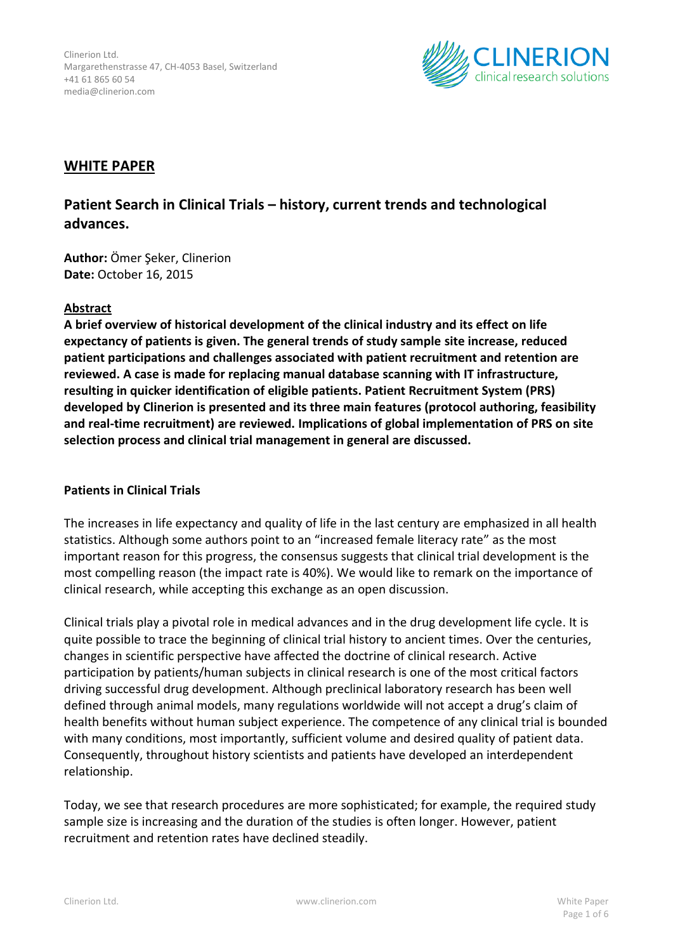

### **WHITE PAPER**

# **Patient Search in Clinical Trials – history, current trends and technological advances.**

**Author:** Ömer Şeker, Clinerion **Date:** October 16, 2015

#### **Abstract**

**A brief overview of historical development of the clinical industry and its effect on life expectancy of patients is given. The general trends of study sample site increase, reduced patient participations and challenges associated with patient recruitment and retention are reviewed. A case is made for replacing manual database scanning with IT infrastructure, resulting in quicker identification of eligible patients. Patient Recruitment System (PRS) developed by Clinerion is presented and its three main features (protocol authoring, feasibility and real-time recruitment) are reviewed. Implications of global implementation of PRS on site selection process and clinical trial management in general are discussed.**

### **Patients in Clinical Trials**

The increases in life expectancy and quality of life in the last century are emphasized in all health statistics. Although some authors point to an "increased female literacy rate" as the most important reason for this progress, the consensus suggests that clinical trial development is the most compelling reason (the impact rate is 40%). We would like to remark on the importance of clinical research, while accepting this exchange as an open discussion.

Clinical trials play a pivotal role in medical advances and in the drug development life cycle. It is quite possible to trace the beginning of clinical trial history to ancient times. Over the centuries, changes in scientific perspective have affected the doctrine of clinical research. Active participation by patients/human subjects in clinical research is one of the most critical factors driving successful drug development. Although preclinical laboratory research has been well defined through animal models, many regulations worldwide will not accept a drug's claim of health benefits without human subject experience. The competence of any clinical trial is bounded with many conditions, most importantly, sufficient volume and desired quality of patient data. Consequently, throughout history scientists and patients have developed an interdependent relationship.

Today, we see that research procedures are more sophisticated; for example, the required study sample size is increasing and the duration of the studies is often longer. However, patient recruitment and retention rates have declined steadily.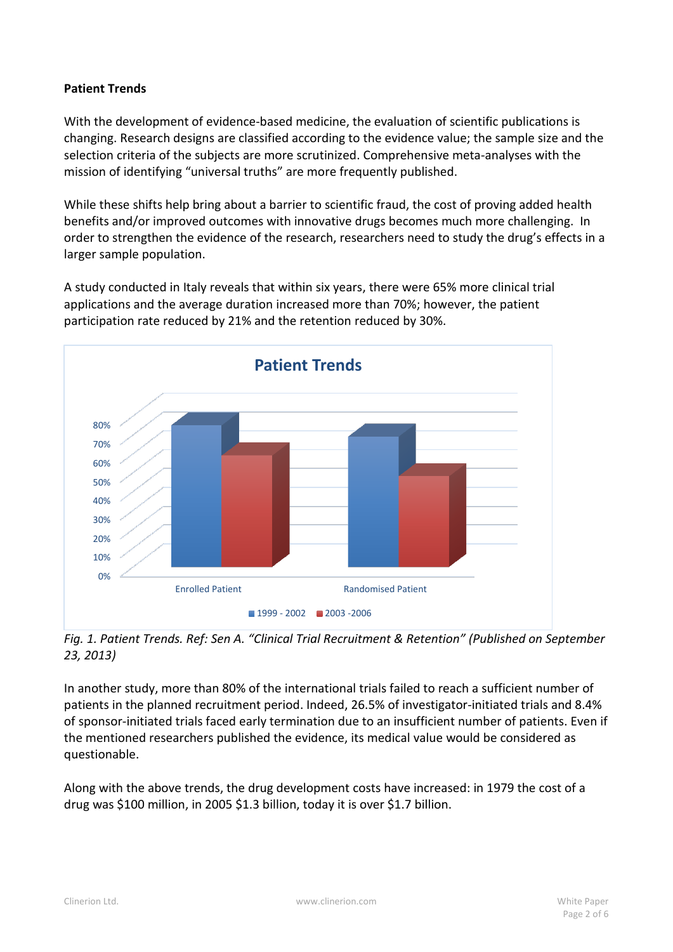### **Patient Trends**

With the development of evidence-based medicine, the evaluation of scientific publications is changing. Research designs are classified according to the evidence value; the sample size and the selection criteria of the subjects are more scrutinized. Comprehensive meta-analyses with the mission of identifying "universal truths" are more frequently published.

While these shifts help bring about a barrier to scientific fraud, the cost of proving added health benefits and/or improved outcomes with innovative drugs becomes much more challenging. In order to strengthen the evidence of the research, researchers need to study the drug's effects in a larger sample population.

A study conducted in Italy reveals that within six years, there were 65% more clinical trial applications and the average duration increased more than 70%; however, the patient participation rate reduced by 21% and the retention reduced by 30%.



*Fig. 1. Patient Trends. Ref: Sen A. "Clinical Trial Recruitment & Retention" (Published on September 23, 2013)*

In another study, more than 80% of the international trials failed to reach a sufficient number of patients in the planned recruitment period. Indeed, 26.5% of investigator-initiated trials and 8.4% of sponsor-initiated trials faced early termination due to an insufficient number of patients. Even if the mentioned researchers published the evidence, its medical value would be considered as questionable.

Along with the above trends, the drug development costs have increased: in 1979 the cost of a drug was \$100 million, in 2005 \$1.3 billion, today it is over \$1.7 billion.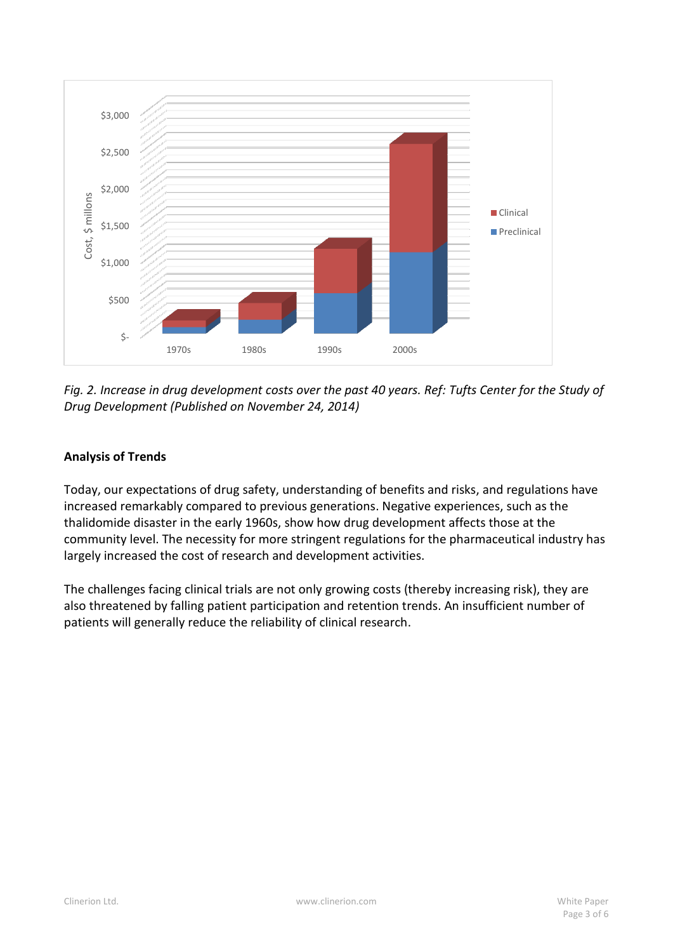

*Fig. 2. Increase in drug development costs over the past 40 years. Ref: Tufts Center for the Study of Drug Development (Published on November 24, 2014)*

### **Analysis of Trends**

Today, our expectations of drug safety, understanding of benefits and risks, and regulations have increased remarkably compared to previous generations. Negative experiences, such as the thalidomide disaster in the early 1960s, show how drug development affects those at the community level. The necessity for more stringent regulations for the pharmaceutical industry has largely increased the cost of research and development activities.

The challenges facing clinical trials are not only growing costs (thereby increasing risk), they are also threatened by falling patient participation and retention trends. An insufficient number of patients will generally reduce the reliability of clinical research.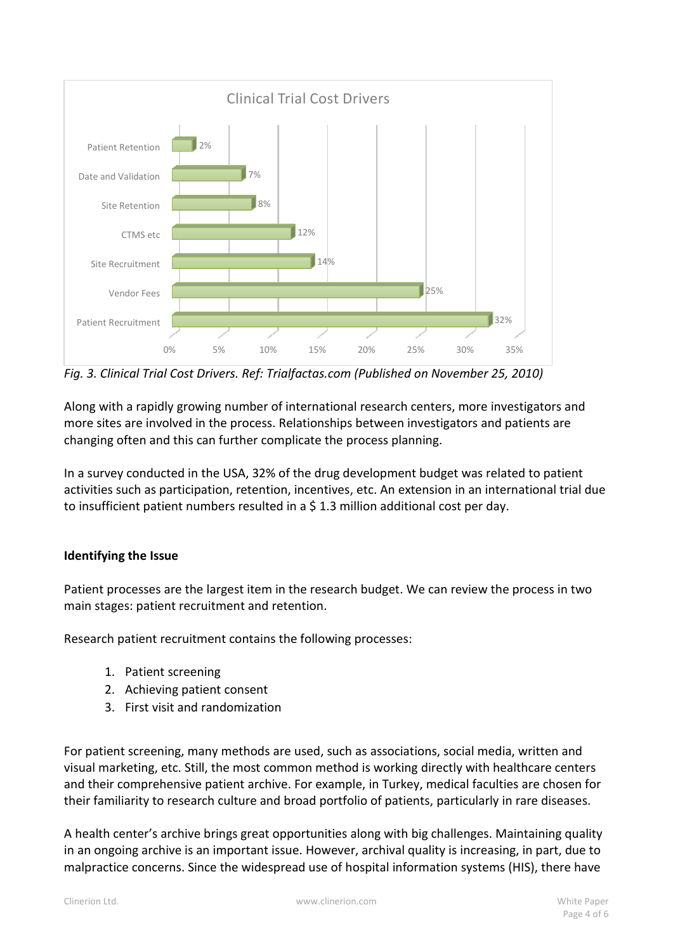

*Fig. 3. Clinical Trial Cost Drivers. Ref: Trialfactas.com (Published on November 25, 2010)*

Along with a rapidly growing number of international research centers, more investigators and more sites are involved in the process. Relationships between investigators and patients are changing often and this can further complicate the process planning.

In a survey conducted in the USA, 32% of the drug development budget was related to patient activities such as participation, retention, incentives, etc. An extension in an international trial due to insufficient patient numbers resulted in a \$ 1.3 million additional cost per day.

## **Identifying the Issue**

Patient processes are the largest item in the research budget. We can review the process in two main stages: patient recruitment and retention.

Research patient recruitment contains the following processes:

- 1. Patient screening
- 2. Achieving patient consent
- 3. First visit and randomization

For patient screening, many methods are used, such as associations, social media, written and visual marketing, etc. Still, the most common method is working directly with healthcare centers and their comprehensive patient archive. For example, in Turkey, medical faculties are chosen for their familiarity to research culture and broad portfolio of patients, particularly in rare diseases.

A health center's archive brings great opportunities along with big challenges. Maintaining quality in an ongoing archive is an important issue. However, archival quality is increasing, in part, due to malpractice concerns. Since the widespread use of hospital information systems (HIS), there have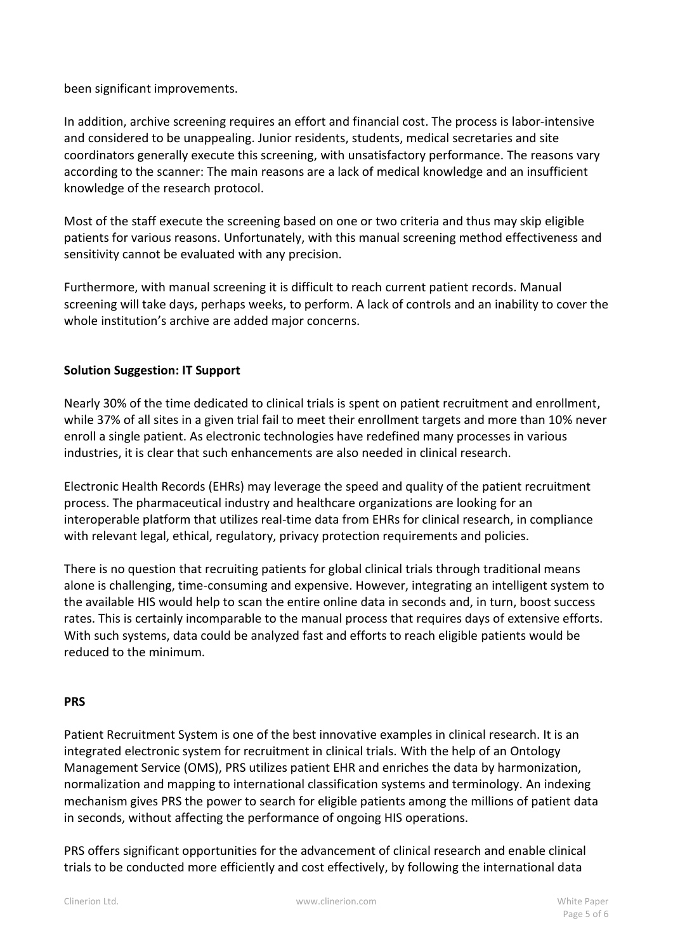been significant improvements.

In addition, archive screening requires an effort and financial cost. The process is labor-intensive and considered to be unappealing. Junior residents, students, medical secretaries and site coordinators generally execute this screening, with unsatisfactory performance. The reasons vary according to the scanner: The main reasons are a lack of medical knowledge and an insufficient knowledge of the research protocol.

Most of the staff execute the screening based on one or two criteria and thus may skip eligible patients for various reasons. Unfortunately, with this manual screening method effectiveness and sensitivity cannot be evaluated with any precision.

Furthermore, with manual screening it is difficult to reach current patient records. Manual screening will take days, perhaps weeks, to perform. A lack of controls and an inability to cover the whole institution's archive are added major concerns.

### **Solution Suggestion: IT Support**

Nearly 30% of the time dedicated to clinical trials is spent on patient recruitment and enrollment, while 37% of all sites in a given trial fail to meet their enrollment targets and more than 10% never enroll a single patient. As electronic technologies have redefined many processes in various industries, it is clear that such enhancements are also needed in clinical research.

Electronic Health Records (EHRs) may leverage the speed and quality of the patient recruitment process. The pharmaceutical industry and healthcare organizations are looking for an interoperable platform that utilizes real-time data from EHRs for clinical research, in compliance with relevant legal, ethical, regulatory, privacy protection requirements and policies.

There is no question that recruiting patients for global clinical trials through traditional means alone is challenging, time-consuming and expensive. However, integrating an intelligent system to the available HIS would help to scan the entire online data in seconds and, in turn, boost success rates. This is certainly incomparable to the manual process that requires days of extensive efforts. With such systems, data could be analyzed fast and efforts to reach eligible patients would be reduced to the minimum.

### **PRS**

Patient Recruitment System is one of the best innovative examples in clinical research. It is an integrated electronic system for recruitment in clinical trials. With the help of an Ontology Management Service (OMS), PRS utilizes patient EHR and enriches the data by harmonization, normalization and mapping to international classification systems and terminology. An indexing mechanism gives PRS the power to search for eligible patients among the millions of patient data in seconds, without affecting the performance of ongoing HIS operations.

PRS offers significant opportunities for the advancement of clinical research and enable clinical trials to be conducted more efficiently and cost effectively, by following the international data